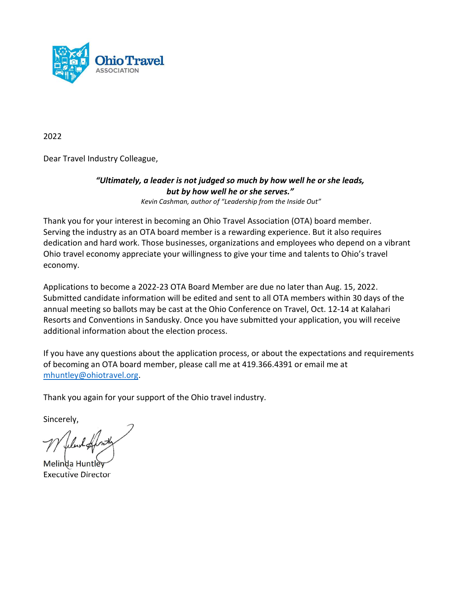

2022

Dear Travel Industry Colleague,

## "Ultimately, a leader is not judged so much by how well he or she leads, but by how well he or she serves." Kevin Cashman, author of "Leadership from the Inside Out"

Thank you for your interest in becoming an Ohio Travel Association (OTA) board member. Serving the industry as an OTA board member is a rewarding experience. But it also requires dedication and hard work. Those businesses, organizations and employees who depend on a vibrant Ohio travel economy appreciate your willingness to give your time and talents to Ohio's travel economy.

Applications to become a 2022-23 OTA Board Member are due no later than Aug. 15, 2022. Submitted candidate information will be edited and sent to all OTA members within 30 days of the annual meeting so ballots may be cast at the Ohio Conference on Travel, Oct. 12-14 at Kalahari Resorts and Conventions in Sandusky. Once you have submitted your application, you will receive additional information about the election process.

If you have any questions about the application process, or about the expectations and requirements of becoming an OTA board member, please call me at 419.366.4391 or email me at mhuntley@ohiotravel.org.

Thank you again for your support of the Ohio travel industry.

Sincerely,

Melinda Huntle Executive Director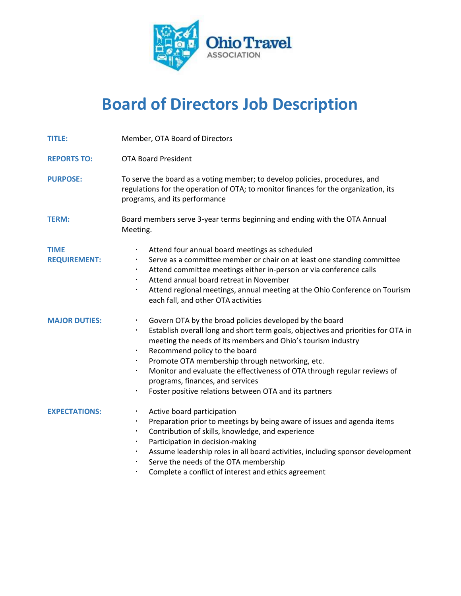

## Board of Directors Job Description

| <b>TITLE:</b>                      | Member, OTA Board of Directors                                                                                                                                                                                                                                                                                                                                                                                                                                                                                                                           |  |  |
|------------------------------------|----------------------------------------------------------------------------------------------------------------------------------------------------------------------------------------------------------------------------------------------------------------------------------------------------------------------------------------------------------------------------------------------------------------------------------------------------------------------------------------------------------------------------------------------------------|--|--|
| <b>REPORTS TO:</b>                 | <b>OTA Board President</b>                                                                                                                                                                                                                                                                                                                                                                                                                                                                                                                               |  |  |
| <b>PURPOSE:</b>                    | To serve the board as a voting member; to develop policies, procedures, and<br>regulations for the operation of OTA; to monitor finances for the organization, its<br>programs, and its performance                                                                                                                                                                                                                                                                                                                                                      |  |  |
| <b>TERM:</b>                       | Board members serve 3-year terms beginning and ending with the OTA Annual<br>Meeting.                                                                                                                                                                                                                                                                                                                                                                                                                                                                    |  |  |
| <b>TIME</b><br><b>REQUIREMENT:</b> | Attend four annual board meetings as scheduled<br>$\bullet$<br>Serve as a committee member or chair on at least one standing committee<br>$\bullet$<br>Attend committee meetings either in-person or via conference calls<br>$\bullet$<br>Attend annual board retreat in November<br>$\bullet$<br>Attend regional meetings, annual meeting at the Ohio Conference on Tourism<br>$\bullet$<br>each fall, and other OTA activities                                                                                                                         |  |  |
| <b>MAJOR DUTIES:</b>               | Govern OTA by the broad policies developed by the board<br>$\bullet$<br>Establish overall long and short term goals, objectives and priorities for OTA in<br>$\bullet$<br>meeting the needs of its members and Ohio's tourism industry<br>Recommend policy to the board<br>$\bullet$<br>Promote OTA membership through networking, etc.<br>$\bullet$<br>Monitor and evaluate the effectiveness of OTA through regular reviews of<br>$\bullet$<br>programs, finances, and services<br>Foster positive relations between OTA and its partners<br>$\bullet$ |  |  |
| <b>EXPECTATIONS:</b>               | Active board participation<br>$\bullet$<br>Preparation prior to meetings by being aware of issues and agenda items<br>$\bullet$<br>Contribution of skills, knowledge, and experience<br>$\bullet$<br>Participation in decision-making<br>$\bullet$<br>Assume leadership roles in all board activities, including sponsor development<br>$\bullet$<br>Serve the needs of the OTA membership<br>$\bullet$                                                                                                                                                  |  |  |

Complete a conflict of interest and ethics agreement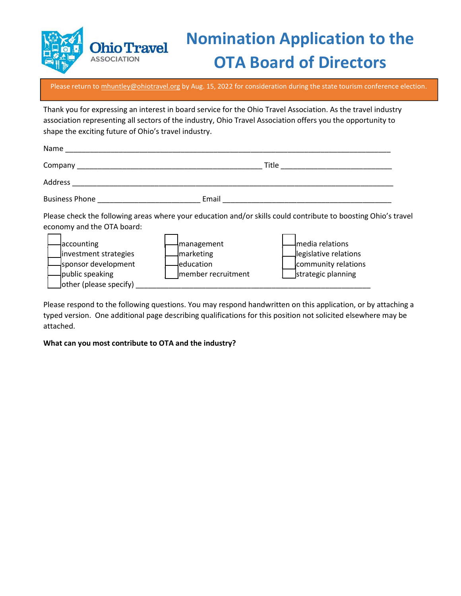

## Nomination Application to the OTA Board of Directors

Please return to mhuntley@ohiotravel.org by Aug. 15, 2022 for consideration during the state tourism conference election.

Thank you for expressing an interest in board service for the Ohio Travel Association. As the travel industry association representing all sectors of the industry, Ohio Travel Association offers you the opportunity to shape the exciting future of Ohio's travel industry.

| Name                                                                                                                                  |                                                                                                                           |                                                                                                                                                                                                         |  |
|---------------------------------------------------------------------------------------------------------------------------------------|---------------------------------------------------------------------------------------------------------------------------|---------------------------------------------------------------------------------------------------------------------------------------------------------------------------------------------------------|--|
|                                                                                                                                       | Title<br>Company to the company of the company of the company of the company of the company of the company of the company |                                                                                                                                                                                                         |  |
| Address                                                                                                                               |                                                                                                                           |                                                                                                                                                                                                         |  |
| <b>Business Phone Example 2014</b>                                                                                                    | Email                                                                                                                     |                                                                                                                                                                                                         |  |
| economy and the OTA board:<br>accounting<br>investment strategies<br>sponsor development<br>public speaking<br>other (please specify) | <b>Imanagement</b><br>marketing<br>leducation<br>member recruitment                                                       | Please check the following areas where your education and/or skills could contribute to boosting Ohio's travel<br>media relations<br>legislative relations<br>community relations<br>strategic planning |  |

Please respond to the following questions. You may respond handwritten on this application, or by attaching a typed version. One additional page describing qualifications for this position not solicited elsewhere may be attached.

What can you most contribute to OTA and the industry?